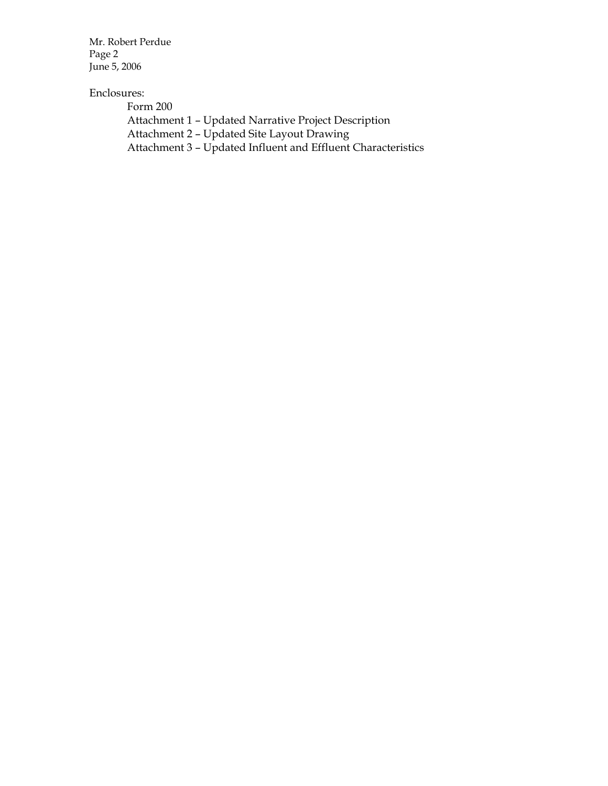Mr. Robert Perdue Page 2 June 5, 2006

#### Enclosures:

 Form 200 Attachment 1 – Updated Narrative Project Description Attachment 2 – Updated Site Layout Drawing Attachment 3 – Updated Influent and Effluent Characteristics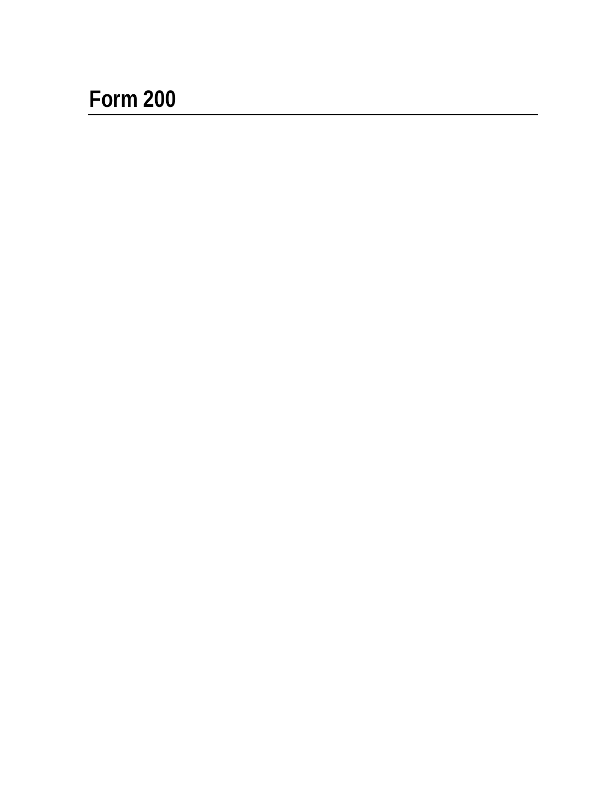# **Form 200**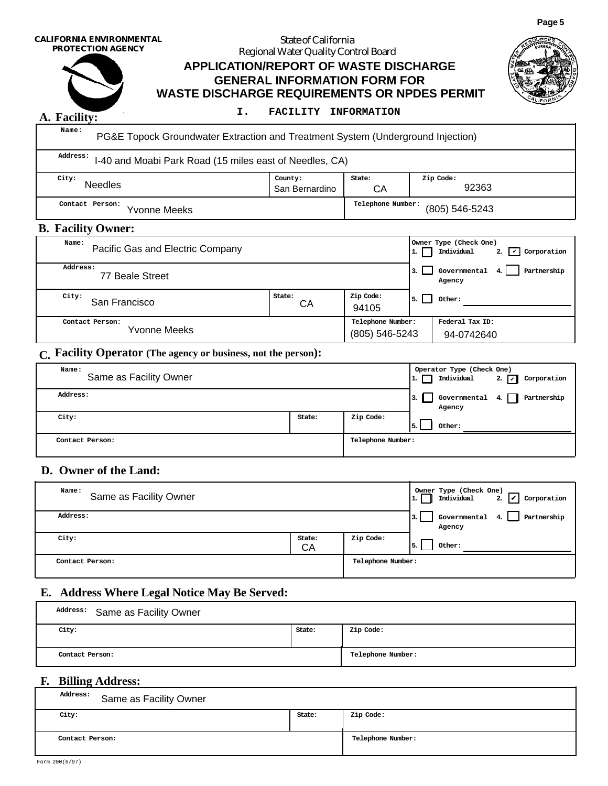**CALIFORNIA ENVIRONMENTAL PROTECTION AGENCY**

#### **WASTE DISCHARGE REQUIREMENTS OR NPDES PERMIT APPLICATION/REPORT OF WASTE DISCHARGE GENERAL INFORMATION FORM FOR** State of California Regional Water Quality Control Board



#### **I. FACILITY INFORMATION**

**A. Facility: Name:**

PG&E Topock Groundwater Extraction and Treatment System (Underground Injection)

 **Contact Person: Telephone Number: City: County: State: Zip Code: Address:** I-40 and Moabi Park Road (15 miles east of Needles, CA) Needles San Bernardino CA 92363 (805) 546-5243

#### **B. Facility Owner:**

| Name:<br>Pacific Gas and Electric Company |              |                                     |    | Owner Type (Check One)<br>Individual<br>Corporation<br>$\vert\,$<br>2. |
|-------------------------------------------|--------------|-------------------------------------|----|------------------------------------------------------------------------|
| Address:<br>77 Beale Street               |              |                                     |    | Governmental<br>Partnership<br>4.1<br>Agency                           |
| City:<br>San Francisco                    | State:<br>CА | Zip Code:<br>94105                  | 5. | Other:                                                                 |
| Contact Person:<br>Yvonne Meeks           |              | Telephone Number:<br>(805) 546-5243 |    | Federal Tax ID:<br>94-0742640                                          |

#### **C. Facility Operator (The agency or business, not the person):**

| Name:<br>Same as Facility Owner |        |                   | ٠. | Operator Type (Check One)<br>Individual | 2. $\Box$<br>Corporation |  |
|---------------------------------|--------|-------------------|----|-----------------------------------------|--------------------------|--|
| Address:                        |        |                   |    | Governmental 4. $\Box$<br>Agency        | Partnership              |  |
| City:                           | State: | Zip Code:         |    | Other:                                  |                          |  |
| Contact Person:                 |        | Telephone Number: |    |                                         |                          |  |

#### **D. Owner of the Land:**

| Name:<br>Same as Facility Owner              | Owner Type (Check One)<br>Individual<br>Corporation<br>2.<br>1. |           |              |
|----------------------------------------------|-----------------------------------------------------------------|-----------|--------------|
| Address:                                     | Governmental $4.$<br>Partnership<br>з.<br>Agency                |           |              |
| City:                                        | State:<br>CA                                                    | Zip Code: | Other:<br>5. |
| Contact Person:                              | Telephone Number:                                               |           |              |
| E. Address Where Legal Notice May Be Served: |                                                                 |           |              |
| Address:<br>Same as Facility Owner           |                                                                 |           |              |
| City:                                        | State:                                                          | Zip Code: |              |
| Contact Person:                              | Telephone Number:                                               |           |              |
| <b>F. Billing Address:</b>                   |                                                                 |           |              |
| Address:<br>Same as Facility Owner           |                                                                 |           |              |

#### **E. Address Where Legal Notice May Be Served:**

| Address: Same as Facility Owner |        |                   |
|---------------------------------|--------|-------------------|
| City:                           | State: | Zip Code:         |
| Contact Person:                 |        | Telephone Number: |

#### **F. Billing Address:**

| Address:<br>Same as Facility Owner |        |                   |  |  |  |  |  |  |  |
|------------------------------------|--------|-------------------|--|--|--|--|--|--|--|
| City:                              | State: | Zip Code:         |  |  |  |  |  |  |  |
| Contact Person:                    |        | Telephone Number: |  |  |  |  |  |  |  |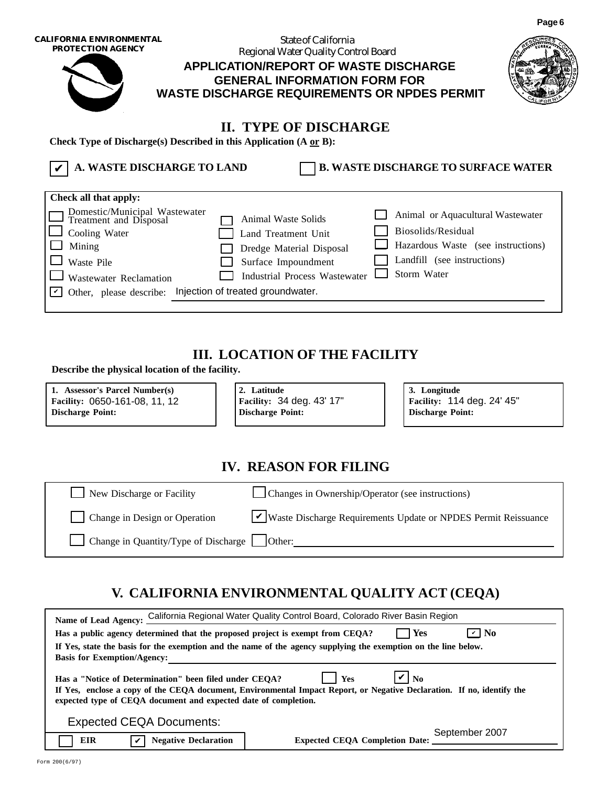| CALIFORNIA ENVIRONMENTAL<br><b>PROTECTION AGENCY</b>                                                                                                                                          | Regional Water Quality Control Board<br><b>APPLICATION/REPORT OF WASTE DISCHARGE</b><br><b>GENERAL INFORMATION FORM FOR</b><br><b>WASTE DISCHARGE REQUIREMENTS OR NPDES PERMIT</b> |                                                                                                                                             |  |
|-----------------------------------------------------------------------------------------------------------------------------------------------------------------------------------------------|------------------------------------------------------------------------------------------------------------------------------------------------------------------------------------|---------------------------------------------------------------------------------------------------------------------------------------------|--|
| Check Type of Discharge(s) Described in this Application $(A \nvert pB)$ :<br>A. WASTE DISCHARGE TO LAND                                                                                      | <b>II. TYPE OF DISCHARGE</b>                                                                                                                                                       | <b>B. WASTE DISCHARGE TO SURFACE WATER</b>                                                                                                  |  |
| Check all that apply:<br>Domestic/Municipal Wastewater<br>Treatment and Disposal<br>Cooling Water<br>Mining<br>Waste Pile<br>Wastewater Reclamation<br>Other, please describe:<br>$\mathbf v$ | Animal Waste Solids<br>Land Treatment Unit<br>Dredge Material Disposal<br>Surface Impoundment<br><b>Industrial Process Wastewater</b><br>Injection of treated groundwater.         | Animal or Aquacultural Wastewater<br>Biosolids/Residual<br>Hazardous Waste (see instructions)<br>Landfill (see instructions)<br>Storm Water |  |

#### **III. LOCATION OF THE FACILITY**

 **Describe the physical location of the facility.**

**1. Assessor's Parcel Number(s) 2. Latitude 3. Longitude Facility: Facility: Facility: Discharge Point: Discharge Point: Discharge Point:**

Facility: 114 deg. 24' 45"

**Page 6**

#### **IV. REASON FOR FILING**

New Discharge or Facility Changes in Ownership/Operator (see instructions)

Change in Quantity/Type of Discharge  $\Box$  Other:

Change in Design or Operation V Waste Discharge Requirements Update or NPDES Permit Reissuance

### **V. CALIFORNIA ENVIRONMENTAL QUALITY ACT (CEQA)**

| Name of Lead Agency: California Regional Water Quality Control Board, Colorado River Basin Region                                                                                                                                                                                    |  |  |  |  |  |  |  |  |  |
|--------------------------------------------------------------------------------------------------------------------------------------------------------------------------------------------------------------------------------------------------------------------------------------|--|--|--|--|--|--|--|--|--|
| $\triangledown$ No<br>Has a public agency determined that the proposed project is exempt from CEQA?<br>Yes                                                                                                                                                                           |  |  |  |  |  |  |  |  |  |
| If Yes, state the basis for the exemption and the name of the agency supplying the exemption on the line below.                                                                                                                                                                      |  |  |  |  |  |  |  |  |  |
| <b>Basis for Exemption/Agency:</b>                                                                                                                                                                                                                                                   |  |  |  |  |  |  |  |  |  |
| $\mathbf{V}$ No<br><b>Yes</b><br>Has a "Notice of Determination" been filed under CEOA?<br>If Yes, enclose a copy of the CEQA document, Environmental Impact Report, or Negative Declaration. If no, identify the<br>expected type of CEQA document and expected date of completion. |  |  |  |  |  |  |  |  |  |
| <b>Expected CEQA Documents:</b>                                                                                                                                                                                                                                                      |  |  |  |  |  |  |  |  |  |
| September 2007<br>EIR<br><b>Negative Declaration</b><br><b>Expected CEOA Completion Date:</b>                                                                                                                                                                                        |  |  |  |  |  |  |  |  |  |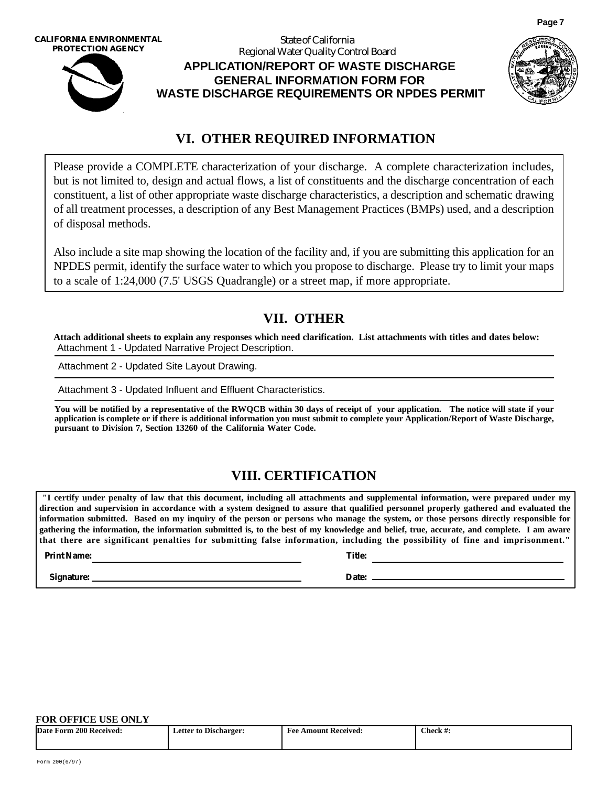**CALIFORNIA ENVIRONMENTAL PROTECTION AGENCY**



#### **WASTE DISCHARGE REQUIREMENTS OR NPDES PERMIT APPLICATION/REPORT OF WASTE DISCHARGE GENERAL INFORMATION FORM FOR** State of California Regional Water Quality Control Board



**Page 7**

#### **VI. OTHER REQUIRED INFORMATION**

Please provide a COMPLETE characterization of your discharge. A complete characterization includes, but is not limited to, design and actual flows, a list of constituents and the discharge concentration of each constituent, a list of other appropriate waste discharge characteristics, a description and schematic drawing of all treatment processes, a description of any Best Management Practices (BMPs) used, and a description of disposal methods.

Also include a site map showing the location of the facility and, if you are submitting this application for an NPDES permit, identify the surface water to which you propose to discharge. Please try to limit your maps to a scale of 1:24,000 (7.5' USGS Quadrangle) or a street map, if more appropriate.

#### **VII. OTHER**

**Attach additional sheets to explain any responses which need clarification. List attachments with titles and dates below:** Attachment 1 - Updated Narrative Project Description.

Attachment 2 - Updated Site Layout Drawing. Attachment 3 - Updated Influent and Effluent Characteristics.

**You will be notified by a representative of the RWQCB within 30 days of receipt of your application. The notice will state if your application is complete or if there is additional information you must submit to complete your Application/Report of Waste Discharge, pursuant to Division 7, Section 13260 of the California Water Code.**

#### **VIII. CERTIFICATION**

**"I certify under penalty of law that this document, including all attachments and supplemental information, were prepared under my direction and supervision in accordance with a system designed to assure that qualified personnel properly gathered and evaluated the information submitted. Based on my inquiry of the person or persons who manage the system, or those persons directly responsible for gathering the information, the information submitted is, to the best of my knowledge and belief, true, accurate, and complete. I am aware that there are significant penalties for submitting false information, including the possibility of fine and imprisonment."**

**Print Name: Title:**

**Signature:** Date: **Date: Date: Date: Date: Date: Date: Date: Date: Date: Date: Date: Date: Date: Date: Date: Date: Date: Date: Date: Date: Date: Date: Date: Date: Date: Da** 

#### **FOR OFFICE USE ONLY**

| Date                      | --                    | <b>Amount Received:</b> | Check $#$ . |
|---------------------------|-----------------------|-------------------------|-------------|
| <b>Form 200 Received:</b> | Letter to Discharger: | -Fee                    |             |
|                           |                       |                         |             |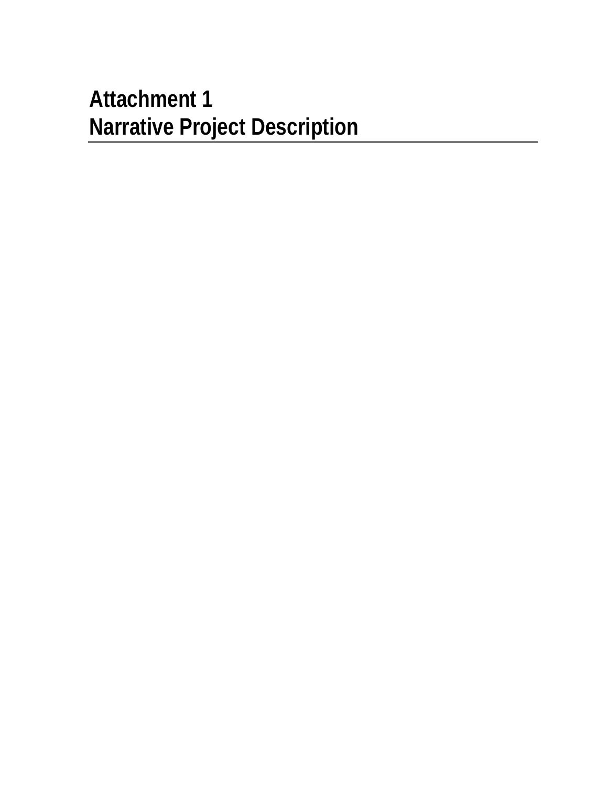# **Attachment 1 Narrative Project Description**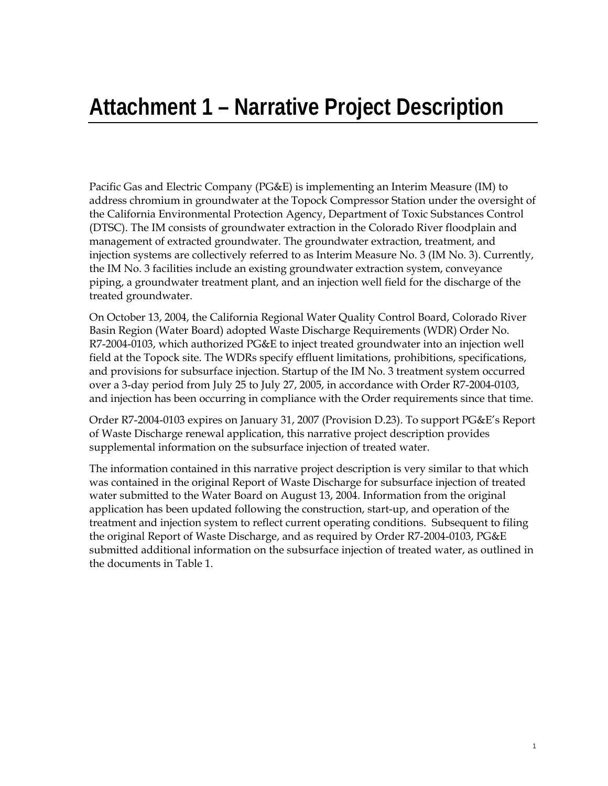# **Attachment 1 – Narrative Project Description**

Pacific Gas and Electric Company (PG&E) is implementing an Interim Measure (IM) to address chromium in groundwater at the Topock Compressor Station under the oversight of the California Environmental Protection Agency, Department of Toxic Substances Control (DTSC). The IM consists of groundwater extraction in the Colorado River floodplain and management of extracted groundwater. The groundwater extraction, treatment, and injection systems are collectively referred to as Interim Measure No. 3 (IM No. 3). Currently, the IM No. 3 facilities include an existing groundwater extraction system, conveyance piping, a groundwater treatment plant, and an injection well field for the discharge of the treated groundwater.

On October 13, 2004, the California Regional Water Quality Control Board, Colorado River Basin Region (Water Board) adopted Waste Discharge Requirements (WDR) Order No. R7-2004-0103, which authorized PG&E to inject treated groundwater into an injection well field at the Topock site. The WDRs specify effluent limitations, prohibitions, specifications, and provisions for subsurface injection. Startup of the IM No. 3 treatment system occurred over a 3-day period from July 25 to July 27, 2005, in accordance with Order R7-2004-0103, and injection has been occurring in compliance with the Order requirements since that time.

Order R7-2004-0103 expires on January 31, 2007 (Provision D.23). To support PG&E's Report of Waste Discharge renewal application, this narrative project description provides supplemental information on the subsurface injection of treated water.

The information contained in this narrative project description is very similar to that which was contained in the original Report of Waste Discharge for subsurface injection of treated water submitted to the Water Board on August 13, 2004. Information from the original application has been updated following the construction, start-up, and operation of the treatment and injection system to reflect current operating conditions. Subsequent to filing the original Report of Waste Discharge, and as required by Order R7-2004-0103, PG&E submitted additional information on the subsurface injection of treated water, as outlined in the documents in Table 1.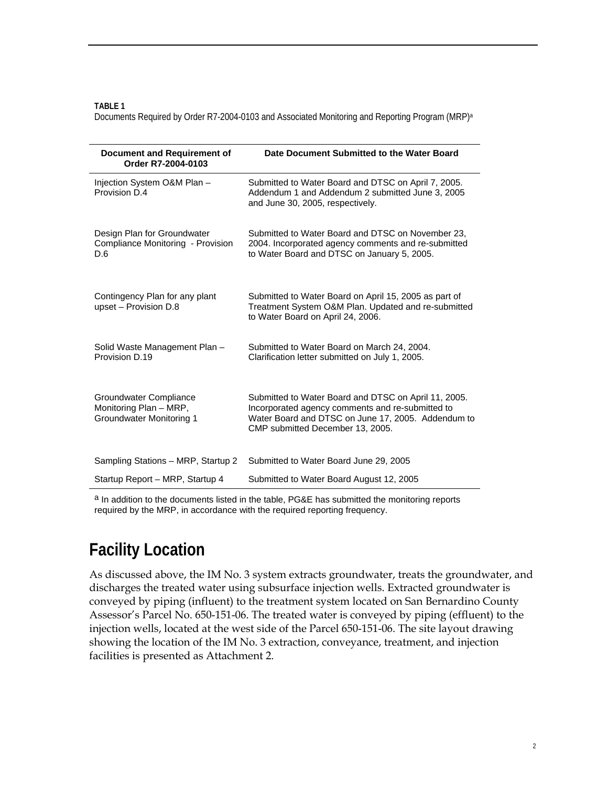**TABLE 1** 

Documents Required by Order R7-2004-0103 and Associated Monitoring and Reporting Program (MRP)a

| Document and Requirement of<br>Order R7-2004-0103                                   | Date Document Submitted to the Water Board                                                                                                                                                         |
|-------------------------------------------------------------------------------------|----------------------------------------------------------------------------------------------------------------------------------------------------------------------------------------------------|
| Injection System O&M Plan -<br>Provision D.4                                        | Submitted to Water Board and DTSC on April 7, 2005.<br>Addendum 1 and Addendum 2 submitted June 3, 2005<br>and June 30, 2005, respectively.                                                        |
| Design Plan for Groundwater<br>Compliance Monitoring - Provision<br>D.6             | Submitted to Water Board and DTSC on November 23,<br>2004. Incorporated agency comments and re-submitted<br>to Water Board and DTSC on January 5, 2005.                                            |
| Contingency Plan for any plant<br>upset - Provision D.8                             | Submitted to Water Board on April 15, 2005 as part of<br>Treatment System O&M Plan. Updated and re-submitted<br>to Water Board on April 24, 2006.                                                  |
| Solid Waste Management Plan -<br>Provision D.19                                     | Submitted to Water Board on March 24, 2004.<br>Clarification letter submitted on July 1, 2005.                                                                                                     |
| Groundwater Compliance<br>Monitoring Plan - MRP,<br><b>Groundwater Monitoring 1</b> | Submitted to Water Board and DTSC on April 11, 2005.<br>Incorporated agency comments and re-submitted to<br>Water Board and DTSC on June 17, 2005. Addendum to<br>CMP submitted December 13, 2005. |
| Sampling Stations - MRP, Startup 2                                                  | Submitted to Water Board June 29, 2005                                                                                                                                                             |
| Startup Report – MRP, Startup 4                                                     | Submitted to Water Board August 12, 2005                                                                                                                                                           |

a In addition to the documents listed in the table, PG&E has submitted the monitoring reports required by the MRP, in accordance with the required reporting frequency.

### **Facility Location**

As discussed above, the IM No. 3 system extracts groundwater, treats the groundwater, and discharges the treated water using subsurface injection wells. Extracted groundwater is conveyed by piping (influent) to the treatment system located on San Bernardino County Assessor's Parcel No. 650-151-06. The treated water is conveyed by piping (effluent) to the injection wells, located at the west side of the Parcel 650-151-06. The site layout drawing showing the location of the IM No. 3 extraction, conveyance, treatment, and injection facilities is presented as Attachment 2.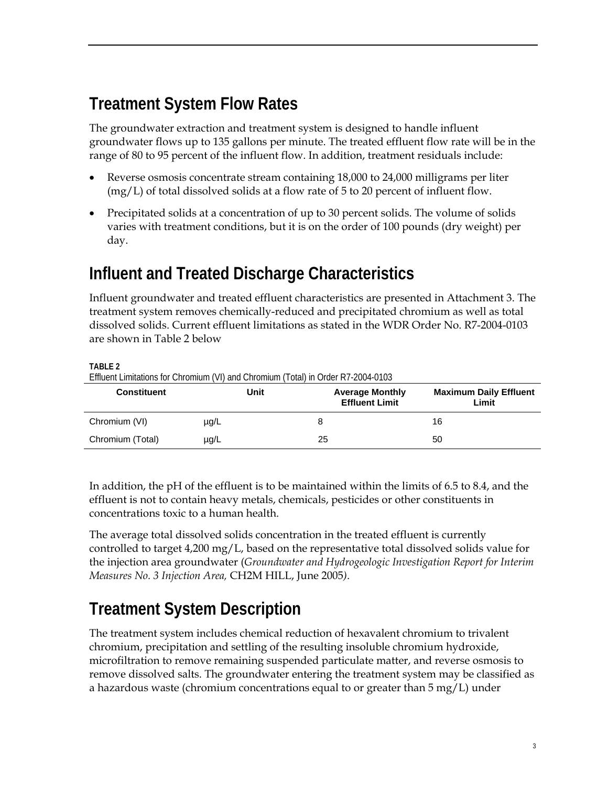### **Treatment System Flow Rates**

The groundwater extraction and treatment system is designed to handle influent groundwater flows up to 135 gallons per minute. The treated effluent flow rate will be in the range of 80 to 95 percent of the influent flow. In addition, treatment residuals include:

- Reverse osmosis concentrate stream containing 18,000 to 24,000 milligrams per liter (mg/L) of total dissolved solids at a flow rate of 5 to 20 percent of influent flow.
- Precipitated solids at a concentration of up to 30 percent solids. The volume of solids varies with treatment conditions, but it is on the order of 100 pounds (dry weight) per day.

# **Influent and Treated Discharge Characteristics**

Influent groundwater and treated effluent characteristics are presented in Attachment 3. The treatment system removes chemically-reduced and precipitated chromium as well as total dissolved solids. Current effluent limitations as stated in the WDR Order No. R7-2004-0103 are shown in Table 2 below

**TABLE 2** 

Effluent Limitations for Chromium (VI) and Chromium (Total) in Order R7-2004-0103

| <b>Constituent</b> | Unit      | <b>Average Monthly</b><br><b>Effluent Limit</b> | <b>Maximum Daily Effluent</b><br>Limit |
|--------------------|-----------|-------------------------------------------------|----------------------------------------|
| Chromium (VI)      | $\mu$ g/L |                                                 | 16                                     |
| Chromium (Total)   | $\mu$ g/L | 25                                              | 50                                     |

In addition, the pH of the effluent is to be maintained within the limits of 6.5 to 8.4, and the effluent is not to contain heavy metals, chemicals, pesticides or other constituents in concentrations toxic to a human health.

The average total dissolved solids concentration in the treated effluent is currently controlled to target 4,200 mg/L, based on the representative total dissolved solids value for the injection area groundwater (*Groundwater and Hydrogeologic Investigation Report for Interim Measures No. 3 Injection Area,* CH2M HILL, June 2005*)*.

### **Treatment System Description**

The treatment system includes chemical reduction of hexavalent chromium to trivalent chromium, precipitation and settling of the resulting insoluble chromium hydroxide, microfiltration to remove remaining suspended particulate matter, and reverse osmosis to remove dissolved salts. The groundwater entering the treatment system may be classified as a hazardous waste (chromium concentrations equal to or greater than 5 mg/L) under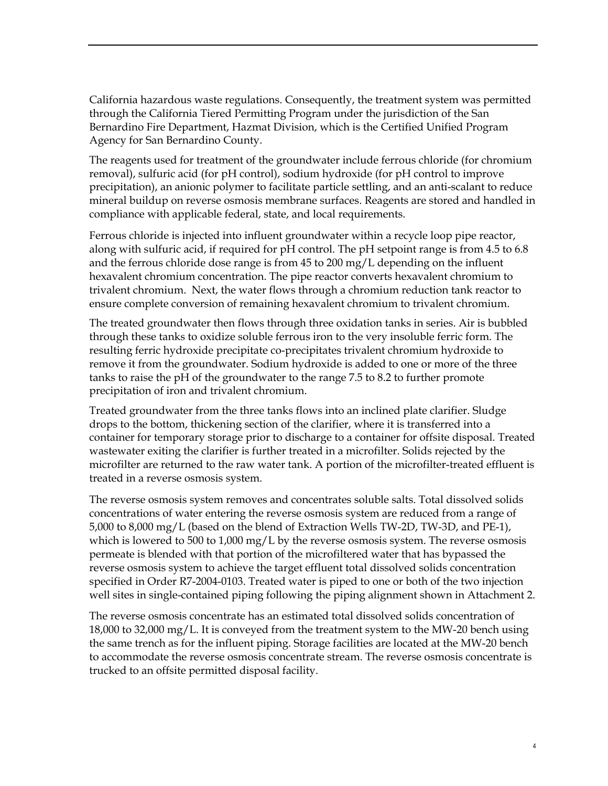California hazardous waste regulations. Consequently, the treatment system was permitted through the California Tiered Permitting Program under the jurisdiction of the San Bernardino Fire Department, Hazmat Division, which is the Certified Unified Program Agency for San Bernardino County.

The reagents used for treatment of the groundwater include ferrous chloride (for chromium removal), sulfuric acid (for pH control), sodium hydroxide (for pH control to improve precipitation), an anionic polymer to facilitate particle settling, and an anti-scalant to reduce mineral buildup on reverse osmosis membrane surfaces. Reagents are stored and handled in compliance with applicable federal, state, and local requirements.

Ferrous chloride is injected into influent groundwater within a recycle loop pipe reactor, along with sulfuric acid, if required for pH control. The pH setpoint range is from 4.5 to 6.8 and the ferrous chloride dose range is from 45 to 200 mg/L depending on the influent hexavalent chromium concentration. The pipe reactor converts hexavalent chromium to trivalent chromium. Next, the water flows through a chromium reduction tank reactor to ensure complete conversion of remaining hexavalent chromium to trivalent chromium.

The treated groundwater then flows through three oxidation tanks in series. Air is bubbled through these tanks to oxidize soluble ferrous iron to the very insoluble ferric form. The resulting ferric hydroxide precipitate co-precipitates trivalent chromium hydroxide to remove it from the groundwater. Sodium hydroxide is added to one or more of the three tanks to raise the pH of the groundwater to the range 7.5 to 8.2 to further promote precipitation of iron and trivalent chromium.

Treated groundwater from the three tanks flows into an inclined plate clarifier. Sludge drops to the bottom, thickening section of the clarifier, where it is transferred into a container for temporary storage prior to discharge to a container for offsite disposal. Treated wastewater exiting the clarifier is further treated in a microfilter. Solids rejected by the microfilter are returned to the raw water tank. A portion of the microfilter-treated effluent is treated in a reverse osmosis system.

The reverse osmosis system removes and concentrates soluble salts. Total dissolved solids concentrations of water entering the reverse osmosis system are reduced from a range of 5,000 to 8,000 mg/L (based on the blend of Extraction Wells TW-2D, TW-3D, and PE-1), which is lowered to 500 to 1,000 mg/L by the reverse osmosis system. The reverse osmosis permeate is blended with that portion of the microfiltered water that has bypassed the reverse osmosis system to achieve the target effluent total dissolved solids concentration specified in Order R7-2004-0103. Treated water is piped to one or both of the two injection well sites in single-contained piping following the piping alignment shown in Attachment 2.

The reverse osmosis concentrate has an estimated total dissolved solids concentration of 18,000 to 32,000 mg/L. It is conveyed from the treatment system to the MW-20 bench using the same trench as for the influent piping. Storage facilities are located at the MW-20 bench to accommodate the reverse osmosis concentrate stream. The reverse osmosis concentrate is trucked to an offsite permitted disposal facility.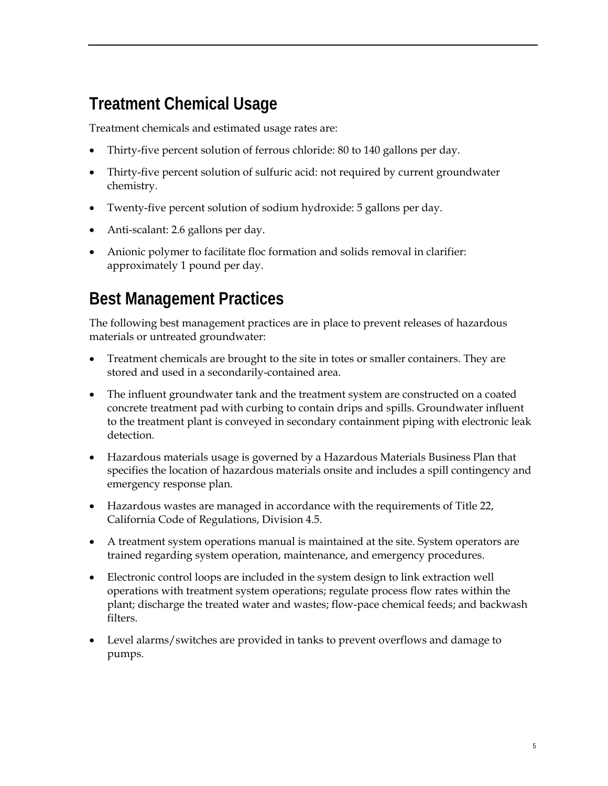# **Treatment Chemical Usage**

Treatment chemicals and estimated usage rates are:

- Thirty-five percent solution of ferrous chloride: 80 to 140 gallons per day.
- Thirty-five percent solution of sulfuric acid: not required by current groundwater chemistry.
- Twenty-five percent solution of sodium hydroxide: 5 gallons per day.
- Anti-scalant: 2.6 gallons per day.
- Anionic polymer to facilitate floc formation and solids removal in clarifier: approximately 1 pound per day.

# **Best Management Practices**

The following best management practices are in place to prevent releases of hazardous materials or untreated groundwater:

- Treatment chemicals are brought to the site in totes or smaller containers. They are stored and used in a secondarily-contained area.
- The influent groundwater tank and the treatment system are constructed on a coated concrete treatment pad with curbing to contain drips and spills. Groundwater influent to the treatment plant is conveyed in secondary containment piping with electronic leak detection.
- Hazardous materials usage is governed by a Hazardous Materials Business Plan that specifies the location of hazardous materials onsite and includes a spill contingency and emergency response plan.
- Hazardous wastes are managed in accordance with the requirements of Title 22, California Code of Regulations, Division 4.5.
- A treatment system operations manual is maintained at the site. System operators are trained regarding system operation, maintenance, and emergency procedures.
- Electronic control loops are included in the system design to link extraction well operations with treatment system operations; regulate process flow rates within the plant; discharge the treated water and wastes; flow-pace chemical feeds; and backwash filters.
- Level alarms/switches are provided in tanks to prevent overflows and damage to pumps.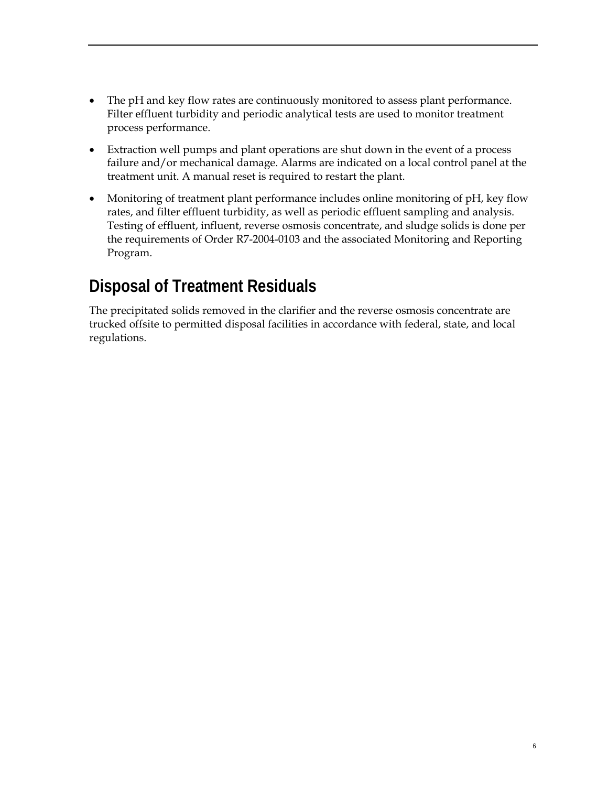- The pH and key flow rates are continuously monitored to assess plant performance. Filter effluent turbidity and periodic analytical tests are used to monitor treatment process performance.
- Extraction well pumps and plant operations are shut down in the event of a process failure and/or mechanical damage. Alarms are indicated on a local control panel at the treatment unit. A manual reset is required to restart the plant.
- Monitoring of treatment plant performance includes online monitoring of pH, key flow rates, and filter effluent turbidity, as well as periodic effluent sampling and analysis. Testing of effluent, influent, reverse osmosis concentrate, and sludge solids is done per the requirements of Order R7-2004-0103 and the associated Monitoring and Reporting Program.

### **Disposal of Treatment Residuals**

The precipitated solids removed in the clarifier and the reverse osmosis concentrate are trucked offsite to permitted disposal facilities in accordance with federal, state, and local regulations.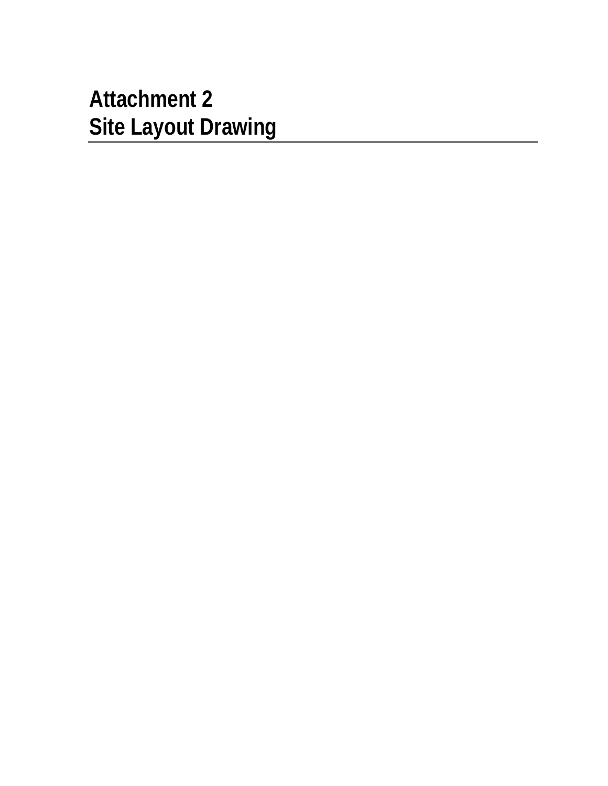# **Attachment 2 Site Layout Drawing**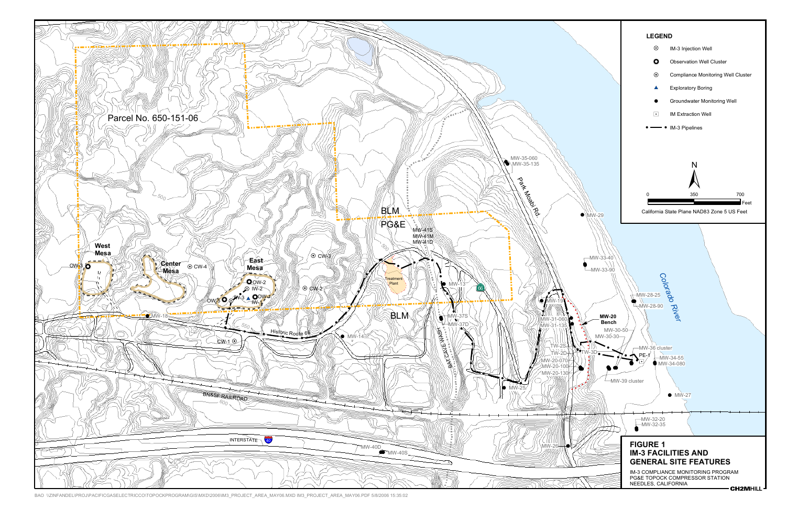

BAO \\ZINFANDEL\PROJ\PACIFICGASELECTRICCO\TOPOCKPROGRAM\GIS\MXD\2006\IM3\_PROJECT\_AREA\_MAY06.MXD IM3\_PROJECT\_AREA\_MAY06.PDF 5/8/2006 15:35:02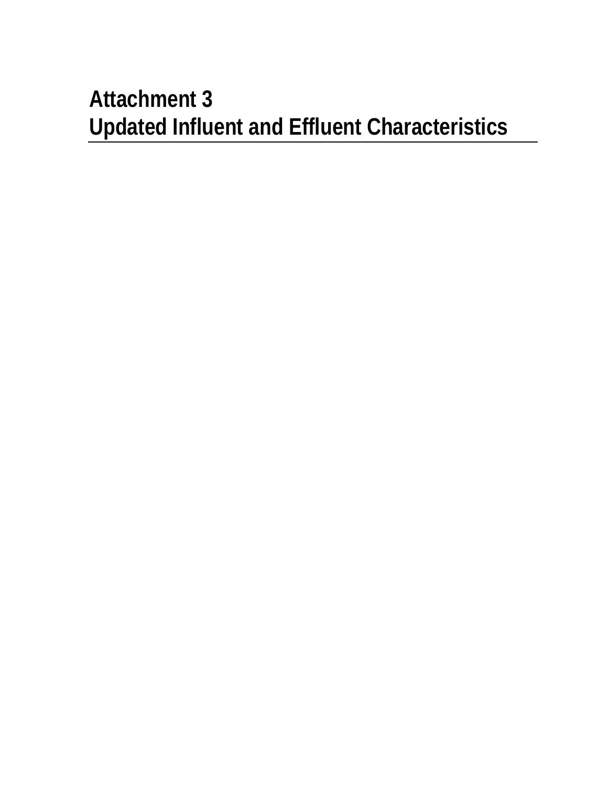# **Attachment 3 Updated Influent and Effluent Characteristics**